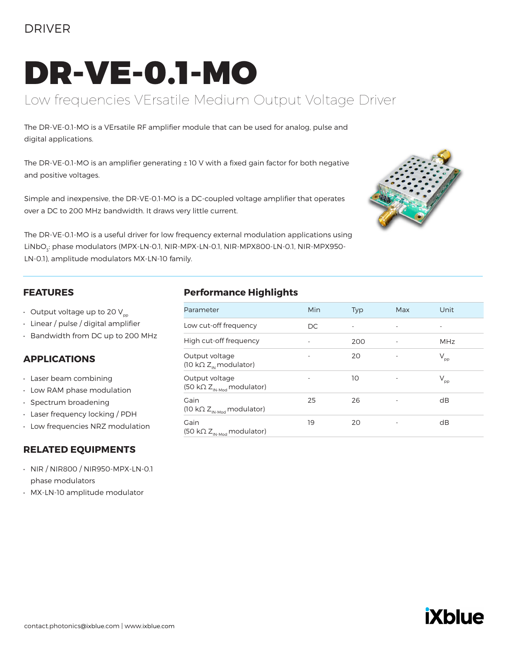### DRIVER

# DR-VE-0.1-MO

## Low frequencies VErsatile Medium Output Voltage Driver

The DR-VE-0.1-MO is a VErsatile RF amplifier module that can be used for analog, pulse and digital applications.

The DR-VE-0.1-MO is an amplifier generating ± 10 V with a fixed gain factor for both negative and positive voltages.

Simple and inexpensive, the DR-VE-0.1-MO is a DC-coupled voltage amplifier that operates over a DC to 200 MHz bandwidth. It draws very little current.



The DR-VE-0.1-MO is a useful driver for low frequency external modulation applications using LiNbO<sub>3</sub>: phase modulators (MPX-LN-0.1, NIR-MPX-LN-0.1, NIR-MPX800-LN-0.1, NIR-MPX950-LN-0.1), amplitude modulators MX-LN-10 family.

#### **FEATURES**

- Output voltage up to 20  $V_{\text{pp}}$
- Linear / pulse / digital amplifier
- Bandwidth from DC up to 200 MHz

#### **APPLICATIONS**

- Laser beam combining
- Low RAM phase modulation
- Spectrum broadening
- Laser frequency locking / PDH
- Low frequencies NRZ modulation

#### **RELATED EQUIPMENTS**

- NIR / NIR800 / NIR950-MPX-LN-0.1 phase modulators
- MX-LN-10 amplitude modulator

#### **Performance Highlights**

| Parameter                                                              | Min | <b>Typ</b> | Max | Unit         |
|------------------------------------------------------------------------|-----|------------|-----|--------------|
| Low cut-off frequency                                                  | DC  |            | -   |              |
| High cut-off frequency                                                 |     | 200        |     | <b>MHz</b>   |
| Output voltage<br>$(10 \text{ k}\Omega Z_{\text{N}} \text{modulator})$ |     | 20         |     | $V_{\rm pp}$ |
| Output voltage<br>(50 k $\Omega$ Z <sub>IN-Mod</sub> modulator)        |     | 10         |     | $\rm V_{pp}$ |
| Gain<br>(10 k $\Omega$ Z <sub>IN-Mod</sub> modulator)                  | 25  | 26         |     | dB           |
| Gain<br>(50 k $\Omega$ Z <sub>IN-Mod</sub> modulator)                  | 19  | 20         |     | dB           |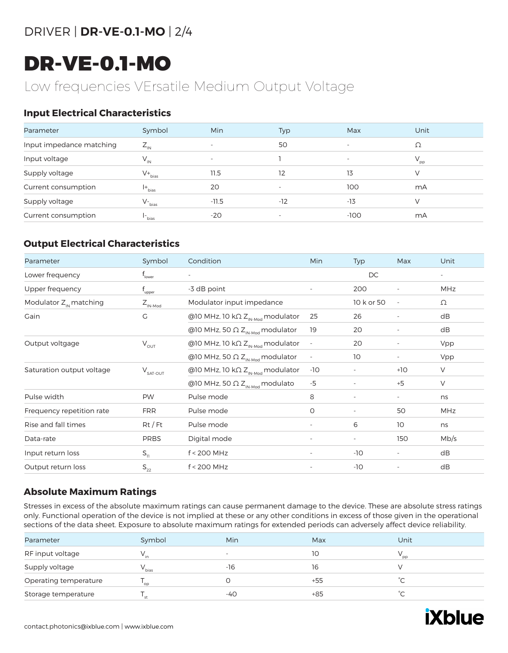# DRIVER | **DR-VE-0.1-MO** | 2/4

# DR-VE-0.1-MO

# Low frequencies VErsatile Medium Output Voltage

#### **Input Electrical Characteristics**

| Parameter                | Symbol                 | <b>Min</b>               | Typ                      | Max    | Unit            |
|--------------------------|------------------------|--------------------------|--------------------------|--------|-----------------|
| Input impedance matching | $Z_{\text{IN}}$        | $\overline{\phantom{a}}$ | 50                       |        | Ω               |
| Input voltage            | $V_{\shortparallel N}$ | $\overline{\phantom{a}}$ |                          |        | $V_{\text{pp}}$ |
| Supply voltage           | $V_{\text{bias}}$      | 11.5                     | 12                       | 13     | V               |
| Current consumption      | $ +$ <sub>bias</sub>   | 20                       |                          | 100    | mA              |
| Supply voltage           | $V_{\text{bias}}$      | $-11.5$                  | $-12$                    | $-13$  | V               |
| Current consumption      | l-<br>bias             | $-20$                    | $\overline{\phantom{a}}$ | $-100$ | mA              |

#### **Output Electrical Characteristics**

| Parameter                          | Symbol              | Condition                                            | Min                      | Typ                      | Max                      | Unit |
|------------------------------------|---------------------|------------------------------------------------------|--------------------------|--------------------------|--------------------------|------|
| Lower frequency                    | T <sub>lower</sub>  | $\sim$                                               |                          | <b>DC</b>                |                          |      |
| Upper frequency                    | upper               | -3 dB point                                          | $\overline{\phantom{a}}$ | 200                      | $\overline{\phantom{a}}$ | MHz  |
| Modulator Z <sub>IN</sub> matching | $Z_{\text{IN-Mod}}$ | Modulator input impedance                            |                          | 10 k or 50               | $\overline{\phantom{a}}$ | Ω    |
| Gain                               | G                   | @10 MHz, 10 k $\Omega$ Z <sub>IN-Mod</sub> modulator | 25                       | 26                       | $\overline{\phantom{a}}$ | dB   |
|                                    |                     | @10 MHz, 50 $\Omega$ Z <sub>IN-Mod</sub> modulator   | 19                       | 20                       | $\overline{\phantom{a}}$ | dB   |
| Output voltgage                    | $V_{\text{OUT}}$    | @10 MHz, 10 k $\Omega$ Z <sub>IN-Mod</sub> modulator | $\overline{\phantom{a}}$ | 20                       | $\overline{\phantom{a}}$ | Vpp  |
|                                    |                     | @10 MHz, 50 $\Omega$ Z <sub>IN-Mod</sub> modulator   |                          | 10                       | $\overline{\phantom{a}}$ | Vpp  |
| Saturation output voltage          | $V_{SAT-OUT}$       | @10 MHz, 10 k $\Omega$ Z <sub>IN-Mod</sub> modulator | -10                      | $\overline{\phantom{a}}$ | $+10$                    | V    |
|                                    |                     | @10 MHz, 50 $\Omega$ Z <sub>IN-Mod</sub> modulato    | $-5$                     | $\overline{\phantom{a}}$ | $+5$                     | V    |
| Pulse width                        | <b>PW</b>           | Pulse mode                                           | 8                        | ٠                        | $\overline{\phantom{a}}$ | ns   |
| Frequency repetition rate          | <b>FRR</b>          | Pulse mode                                           | 0                        | $\overline{\phantom{a}}$ | 50                       | MHz  |
| Rise and fall times                | $Rt$ / Ft           | Pulse mode                                           | $\overline{\phantom{a}}$ | 6                        | 10 <sup>°</sup>          | ns   |
| Data-rate                          | <b>PRBS</b>         | Digital mode                                         |                          |                          | 150                      | Mb/s |
| Input return loss                  | $S_{11}$            | $f < 200$ MHz                                        | $\overline{\phantom{a}}$ | $-10$                    | $\overline{\phantom{a}}$ | dB   |
| Output return loss                 | $S_{22}$            | $f < 200$ MHz                                        | $\overline{\phantom{a}}$ | $-10$                    | $\overline{\phantom{a}}$ | dB   |

#### **Absolute Maximum Ratings**

Stresses in excess of the absolute maximum ratings can cause permanent damage to the device. These are absolute stress ratings only. Functional operation of the device is not implied at these or any other conditions in excess of those given in the operational sections of the data sheet. Exposure to absolute maximum ratings for extended periods can adversely affect device reliability.

| Parameter             | Symbol            | <b>Min</b> | Max | Unit |  |
|-----------------------|-------------------|------------|-----|------|--|
| RF input voltage      |                   | -          | 10  | pp   |  |
| Supply voltage        | V <sub>bias</sub> | -16        | 16  |      |  |
| Operating temperature | op                |            | +55 | ∽    |  |
| Storage temperature   | st                | $-40$      | +85 | ∽    |  |

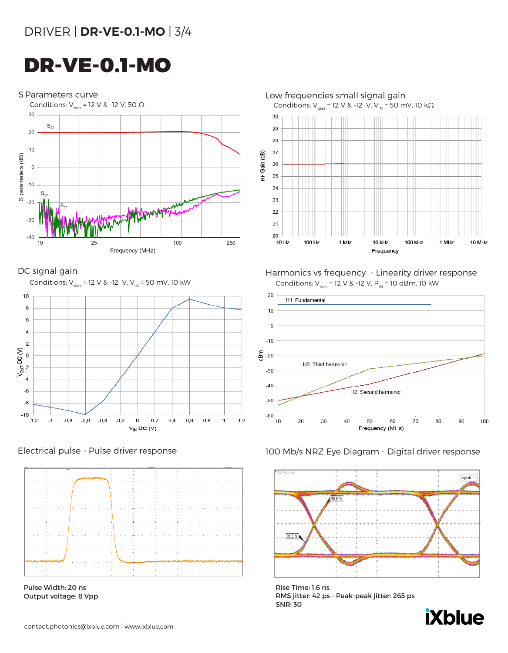# DR-VE-0.1-MO







Pulse Width: 20 ns Output voltage: 8 Vpp



DC signal gain **Harmonics vs frequency** - Linearity driver response



#### Electrical pulse - Pulse driver response 100 Mb/s NRZ Eye Diagram - Digital driver response



Rise Time: 1.6 ns RMS jitter: 42 ps - Peak-peak jitter: 265 ps SNR: 30